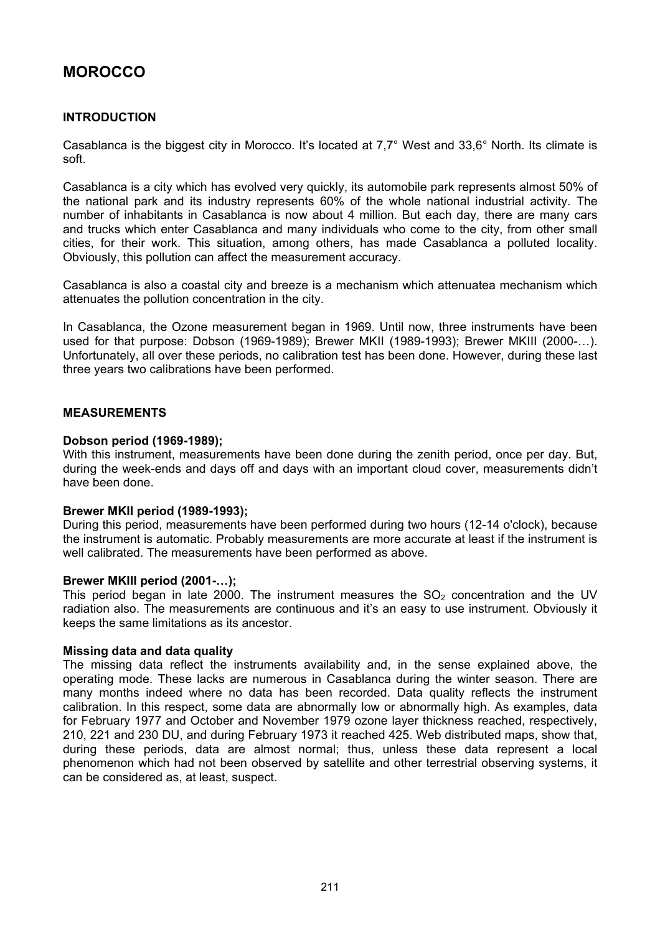# **MOROCCO**

# **INTRODUCTION**

Casablanca is the biggest city in Morocco. It's located at 7,7° West and 33,6° North. Its climate is soft.

Casablanca is a city which has evolved very quickly, its automobile park represents almost 50% of the national park and its industry represents 60% of the whole national industrial activity. The number of inhabitants in Casablanca is now about 4 million. But each day, there are many cars and trucks which enter Casablanca and many individuals who come to the city, from other small cities, for their work. This situation, among others, has made Casablanca a polluted locality. Obviously, this pollution can affect the measurement accuracy.

Casablanca is also a coastal city and breeze is a mechanism which attenuatea mechanism which attenuates the pollution concentration in the city.

In Casablanca, the Ozone measurement began in 1969. Until now, three instruments have been used for that purpose: Dobson (1969-1989); Brewer MKII (1989-1993); Brewer MKIII (2000-…). Unfortunately, all over these periods, no calibration test has been done. However, during these last three years two calibrations have been performed.

## **MEASUREMENTS**

### **Dobson period (1969-1989);**

With this instrument, measurements have been done during the zenith period, once per day. But, during the week-ends and days off and days with an important cloud cover, measurements didn't have been done.

### **Brewer MKII period (1989-1993);**

During this period, measurements have been performed during two hours (12-14 o'clock), because the instrument is automatic. Probably measurements are more accurate at least if the instrument is well calibrated. The measurements have been performed as above.

### **Brewer MKIII period (2001-…);**

This period began in late 2000. The instrument measures the  $SO<sub>2</sub>$  concentration and the UV radiation also. The measurements are continuous and it's an easy to use instrument. Obviously it keeps the same limitations as its ancestor.

## **Missing data and data quality**

The missing data reflect the instruments availability and, in the sense explained above, the operating mode. These lacks are numerous in Casablanca during the winter season. There are many months indeed where no data has been recorded. Data quality reflects the instrument calibration. In this respect, some data are abnormally low or abnormally high. As examples, data for February 1977 and October and November 1979 ozone layer thickness reached, respectively, 210, 221 and 230 DU, and during February 1973 it reached 425. Web distributed maps, show that, during these periods, data are almost normal; thus, unless these data represent a local phenomenon which had not been observed by satellite and other terrestrial observing systems, it can be considered as, at least, suspect.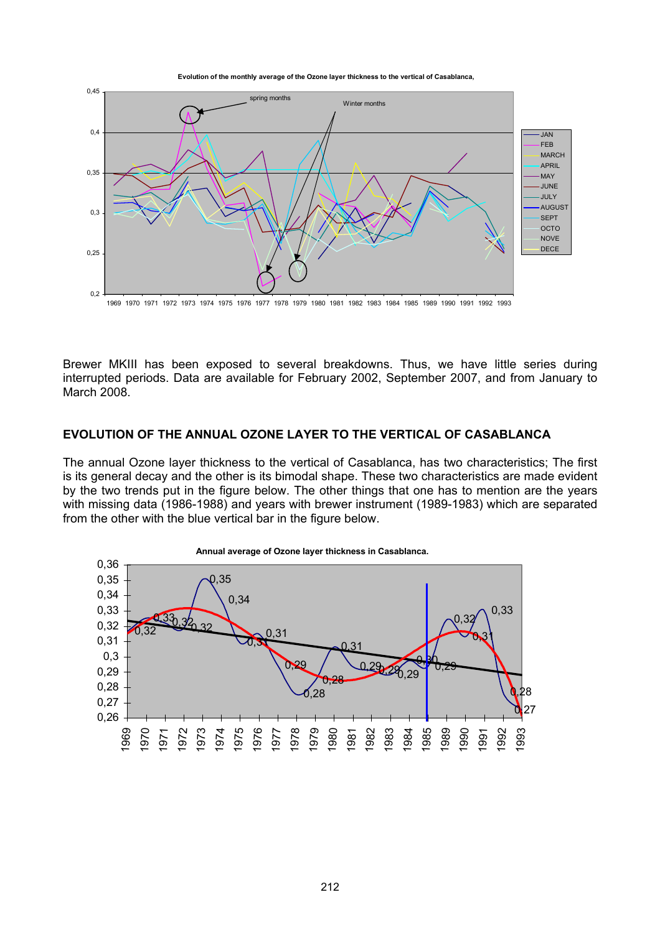**Evolution of the monthly average of the Ozone layer thickness to the vertical of Casablanca,**



Brewer MKIII has been exposed to several breakdowns. Thus, we have little series during interrupted periods. Data are available for February 2002, September 2007, and from January to March 2008.

## **EVOLUTION OF THE ANNUAL OZONE LAYER TO THE VERTICAL OF CASABLANCA**

The annual Ozone layer thickness to the vertical of Casablanca, has two characteristics; The first is its general decay and the other is its bimodal shape. These two characteristics are made evident by the two trends put in the figure below. The other things that one has to mention are the years with missing data (1986-1988) and years with brewer instrument (1989-1983) which are separated from the other with the blue vertical bar in the figure below.



**Annual average of Ozone layer thickness in Casablanca.**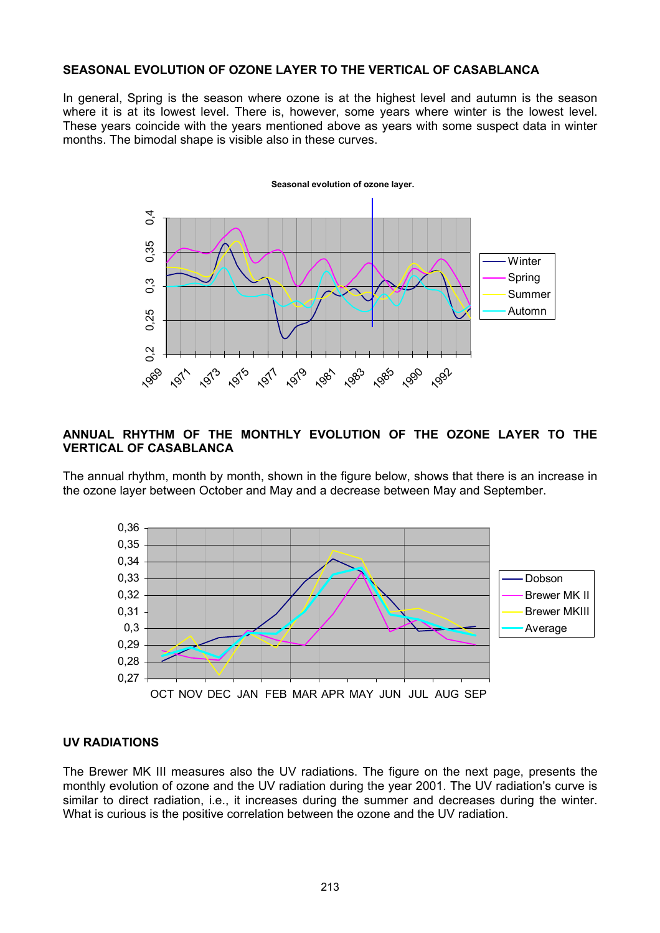# **SEASONAL EVOLUTION OF OZONE LAYER TO THE VERTICAL OF CASABLANCA**

In general, Spring is the season where ozone is at the highest level and autumn is the season where it is at its lowest level. There is, however, some years where winter is the lowest level. These years coincide with the years mentioned above as years with some suspect data in winter months. The bimodal shape is visible also in these curves.



## **ANNUAL RHYTHM OF THE MONTHLY EVOLUTION OF THE OZONE LAYER TO THE VERTICAL OF CASABLANCA**

The annual rhythm, month by month, shown in the figure below, shows that there is an increase in the ozone layer between October and May and a decrease between May and September.



### **UV RADIATIONS**

The Brewer MK III measures also the UV radiations. The figure on the next page, presents the monthly evolution of ozone and the UV radiation during the year 2001. The UV radiation's curve is similar to direct radiation, i.e., it increases during the summer and decreases during the winter. What is curious is the positive correlation between the ozone and the UV radiation.